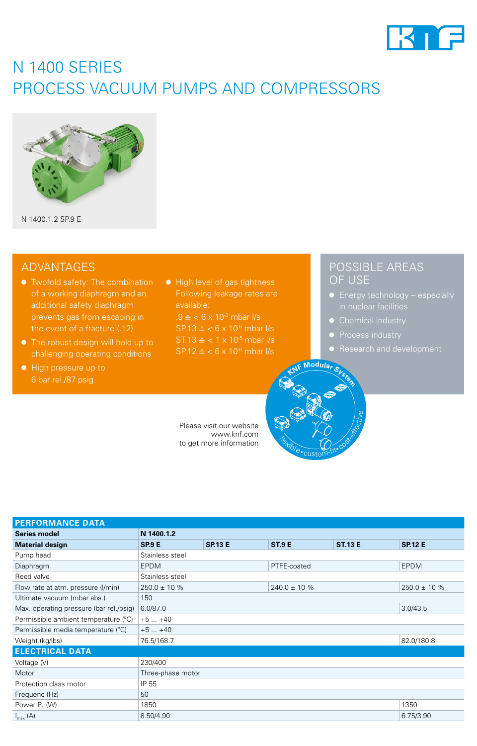

## N 1400 SERIES PROCESS VACUUM PUMPS AND COMPRESSORS



N 1400.1.2 SP.9 E

### ADVANTAGES

- Twofold safety: The combination of a working diaphragm and an additional safety diaphragm prevents gas from escaping in the event of a fracture (.12)
- The robust design will hold up to challenging operating conditions
- High pressure up to 6 bar rel./87 psig

● High level of gas tightness Following leakage rates are available:

 $.9 \triangleq \langle .6 \times 10^{3} \text{ mbar} \rangle$  $SP.13 \triangleq < 6 \times 10^{-6}$  mbar l/s  $SP.12 \triangleq < 6 \times 10^{-6}$  mbar l/s

Please visit our website www.knf.com to get more information

### POSSIBLE AREAS OF USE

- Energy technology especially in nuclear facilities
- Chemical industry
- Process industry
- 



| <b>PERFORMANCE DATA</b>                 |                   |                |                   |                |                   |
|-----------------------------------------|-------------------|----------------|-------------------|----------------|-------------------|
| Series model                            | N 1400.1.2        |                |                   |                |                   |
| <b>Material design</b>                  | <b>SP.9 E</b>     | <b>SP.13 E</b> | <b>ST.9 E</b>     | <b>ST.13 E</b> | <b>SP.12 E</b>    |
| Pump head                               | Stainless steel   |                |                   |                |                   |
| Diaphragm                               | <b>EPDM</b>       |                | PTFE-coated       |                | <b>EPDM</b>       |
| Reed valve                              | Stainless steel   |                |                   |                |                   |
| Flow rate at atm. pressure (I/min)      | $250.0 \pm 10 \%$ |                | $240.0 \pm 10 \%$ |                | $250.0 \pm 10 \%$ |
| Ultimate vacuum (mbar abs.)             | 150               |                |                   |                |                   |
| Max. operating pressure (bar rel./psig) | 6.0/87.0          |                |                   |                | 3.0/43.5          |
| Permissible ambient temperature (°C)    | $+5+40$           |                |                   |                |                   |
| Permissible media temperature (°C)      | $+5+40$           |                |                   |                |                   |
| Weight (kg/lbs)                         | 76.5/168.7        |                |                   |                | 82.0/180.8        |
| <b>ELECTRICAL DATA</b>                  |                   |                |                   |                |                   |
| Voltage (V)                             | 230/400           |                |                   |                |                   |
| Motor                                   | Three-phase motor |                |                   |                |                   |
| Protection class motor                  | IP 55             |                |                   |                |                   |
| Frequenc (Hz)                           | 50                |                |                   |                |                   |
| Power $P_1$ (W)                         | 1850              |                |                   |                | 1350              |
| $I_{\text{max}}(A)$                     | 8.50/4.90         |                |                   |                | 6.75/3.90         |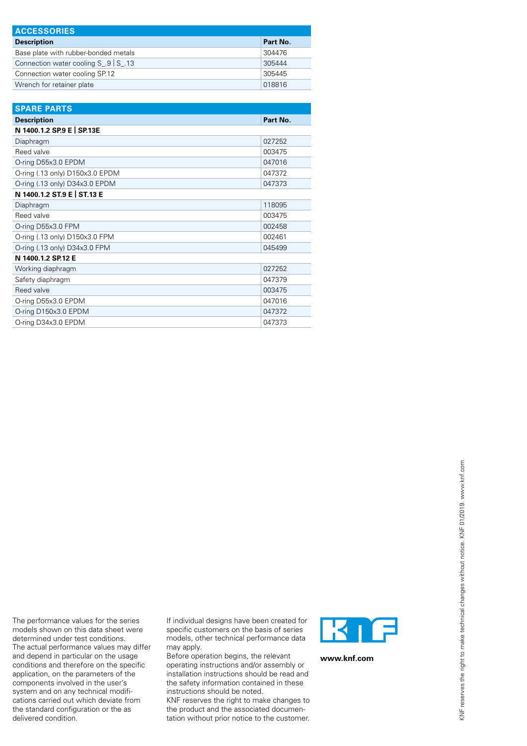| <b>ACCESSORIES</b>                                     |          |
|--------------------------------------------------------|----------|
| <b>Description</b>                                     | Part No. |
| Base plate with rubber-bonded metals                   | 304476   |
| Connection water cooling $S \cdot .9 \mid S \cdot .13$ | 305444   |
| Connection water cooling SP.12                         | 305445   |
| Wrench for retainer plate                              | 018816   |

| <b>SPARE PARTS</b>              |          |
|---------------------------------|----------|
| <b>Description</b>              | Part No. |
| N 1400.1.2 SP.9 E   SP.13E      |          |
| Diaphragm                       | 027252   |
| Reed valve                      | 003475   |
| O-ring D55x3.0 EPDM             | 047016   |
| O-ring (.13 only) D150x3.0 EPDM | 047372   |
| O-ring (.13 only) D34x3.0 EPDM  | 047373   |
| N 1400.1.2 ST.9 E   ST.13 E     |          |
| Diaphragm                       | 118095   |
| Reed valve                      | 003475   |
| O-ring D55x3.0 FPM              | 002458   |
| O-ring (.13 only) D150x3.0 FPM  | 002461   |
| O-ring (.13 only) D34x3.0 FPM   | 045499   |
| N 1400.1.2 SP.12 E              |          |
| Working diaphragm               | 027252   |
| Safety diaphragm                | 047379   |
| Reed valve                      | 003475   |
| O-ring D55x3.0 EPDM             | 047016   |
| O-ring D150x3.0 EPDM            | 047372   |
| O-ring D34x3.0 EPDM             | 047373   |

The performance values for the series models shown on this data sheet were determined under test conditions. The actual performance values may differ and depend in particular on the usage conditions and therefore on the specific application, on the parameters of the components involved in the user's system and on any technical modifications carried out which deviate from the standard configuration or the as delivered condition.

If individual designs have been created for specific customers on the basis of series models, other technical performance data may apply.

Before operation begins, the relevant operating instructions and/or assembly or installation instructions should be read and the safety information contained in these instructions should be noted.

KNF reserves the right to make changes to the product and the associated documentation without prior notice to the customer.



**www.knf.com**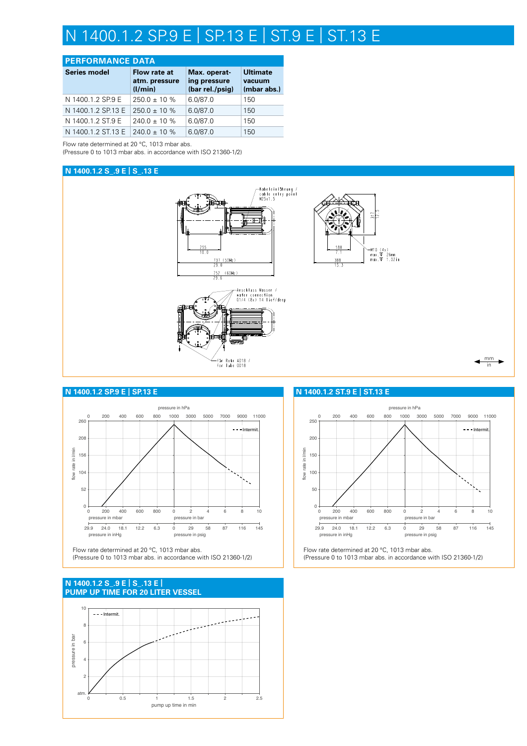## N 1400.1.2 SP.9 E | SP.13 E | ST.9 E | ST.13 E

#### **PERFORMANCE DATA**

| <b>Series model</b> | Flow rate at<br>atm. pressure<br>(1/min) | Max. operat-<br>ing pressure<br>(bar rel./psig) | <b>Ultimate</b><br>vacuum<br>(mbar abs.) |
|---------------------|------------------------------------------|-------------------------------------------------|------------------------------------------|
| N 1400.1.2 SP.9 E   | $250.0 \pm 10\%$                         | 6.0/87.0                                        | 150                                      |
| N 1400.1.2 SP.13 E  | $250.0 \pm 10\%$                         | 6.0/87.0                                        | 150                                      |
| N 1400.1.2 ST.9 E   | $240.0 \pm 10\%$                         | 6.0/87.0                                        | 150                                      |
| N 1400.1.2 ST.13 E  | $240.0 \pm 10\%$                         | 6.0/87.0                                        | 150                                      |

Flow rate determined at 20 °C, 1013 mbar abs.

(Pressure 0 to 1013 mbar abs. in accordance with ISO 21360-1/2)

#### **N 1400.1.2 S\_.9 E | S\_.13 E**



#### **N 1400.1.2 SP.9 E | SP.13 E**



Flow rate determined at 20 °C, 1013 mbar abs. (Pressure 0 to 1013 mbar abs. in accordance with ISO 21360-1/2)

#### **PUMP UP TIME FOR 20 LITER VESSEL N 1400.1.2 S\_.9 E | S\_.13 E |**



#### **N 1400.1.2 ST.9 E | ST.13 E**



Flow rate determined at 20 °C, 1013 mbar abs. (Pressure 0 to 1013 mbar abs. in accordance with ISO 21360-1/2)